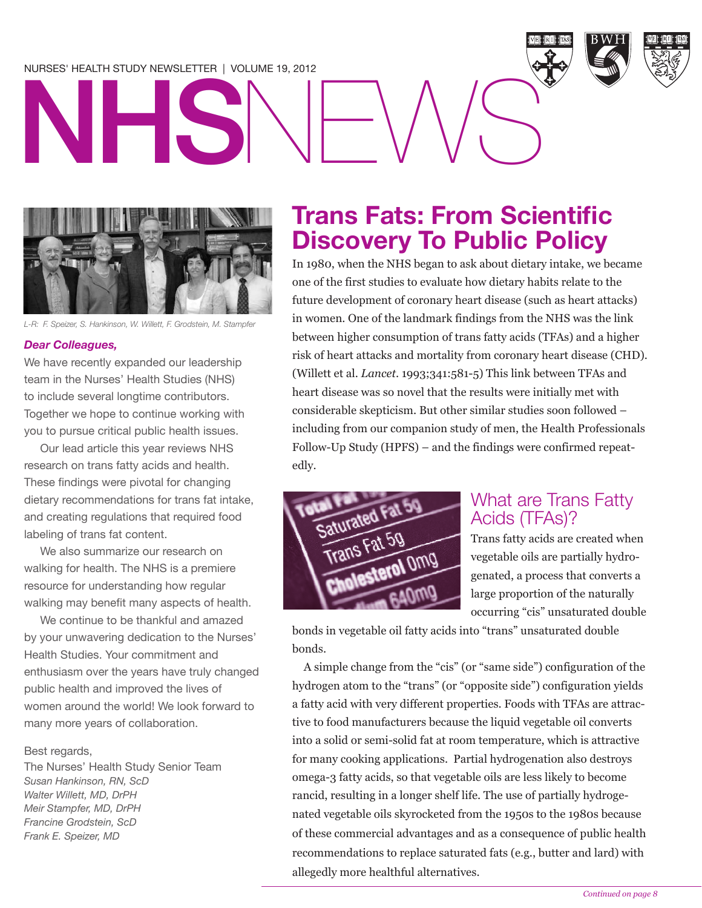### NURSES' HEALTH STUDY NEWSLETTER | VOLUME 19, 2012



*L-R: F. Speizer, S. Hankinson, W. Willett, F. Grodstein, M. Stampfer*

#### *Dear Colleagues,*

We have recently expanded our leadership team in the Nurses' Health Studies (NHS) to include several longtime contributors. Together we hope to continue working with you to pursue critical public health issues.

Our lead article this year reviews NHS research on trans fatty acids and health. These findings were pivotal for changing dietary recommendations for trans fat intake, and creating regulations that required food labeling of trans fat content.

We also summarize our research on walking for health. The NHS is a premiere resource for understanding how regular walking may benefit many aspects of health.

We continue to be thankful and amazed by your unwavering dedication to the Nurses' Health Studies. Your commitment and enthusiasm over the years have truly changed public health and improved the lives of women around the world! We look forward to many more years of collaboration.

#### Best regards,

The Nurses' Health Study Senior Team *Susan Hankinson, RN, ScD Walter Willett, MD, DrPH Meir Stampfer, MD, DrPH Francine Grodstein, ScD Frank E. Speizer, MD*

## **Trans Fats: From Scientific Discovery To Public Policy**

In 1980, when the NHS began to ask about dietary intake, we became one of the first studies to evaluate how dietary habits relate to the future development of coronary heart disease (such as heart attacks) in women. One of the landmark findings from the NHS was the link between higher consumption of trans fatty acids (TFAs) and a higher risk of heart attacks and mortality from coronary heart disease (CHD). (Willett et al. *Lancet*. 1993;341:581-5) This link between TFAs and heart disease was so novel that the results were initially met with considerable skepticism. But other similar studies soon followed – including from our companion study of men, the Health Professionals Follow-Up Study (HPFS) – and the findings were confirmed repeatedly.



### What are Trans Fatty Acids (TFAs)?

Trans fatty acids are created when vegetable oils are partially hydrogenated, a process that converts a large proportion of the naturally occurring "cis" unsaturated double

bonds in vegetable oil fatty acids into "trans" unsaturated double bonds.

A simple change from the "cis" (or "same side") configuration of the hydrogen atom to the "trans" (or "opposite side") configuration yields a fatty acid with very different properties. Foods with TFAs are attractive to food manufacturers because the liquid vegetable oil converts into a solid or semi-solid fat at room temperature, which is attractive for many cooking applications. Partial hydrogenation also destroys omega-3 fatty acids, so that vegetable oils are less likely to become rancid, resulting in a longer shelf life. The use of partially hydrogenated vegetable oils skyrocketed from the 1950s to the 1980s because of these commercial advantages and as a consequence of public health recommendations to replace saturated fats (e.g., butter and lard) with allegedly more healthful alternatives.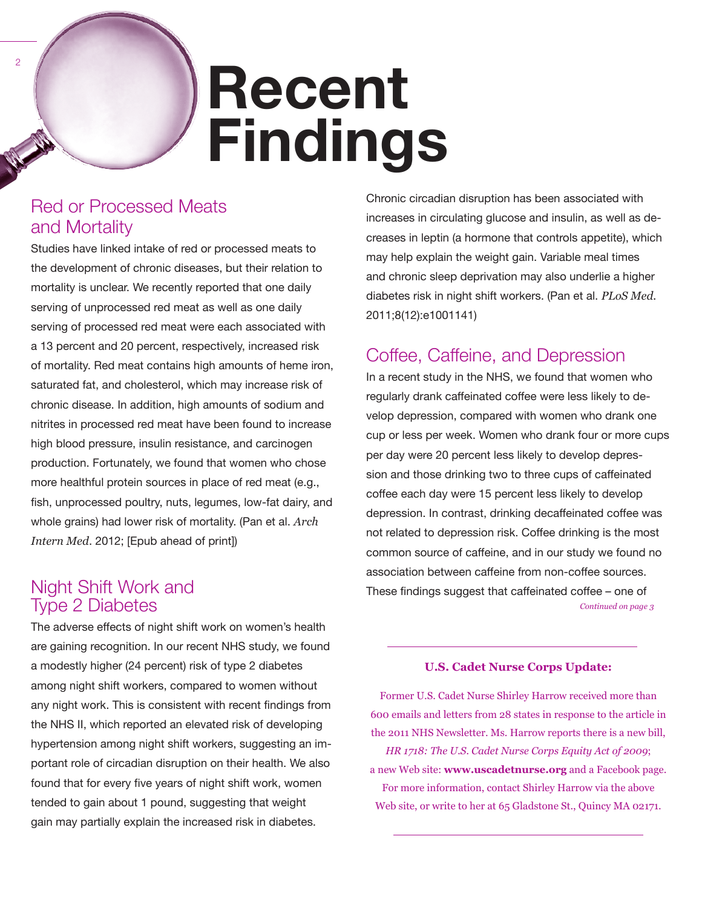# **Recent Findings**

### Red or Processed Meats and Mortality

Studies have linked intake of red or processed meats to the development of chronic diseases, but their relation to mortality is unclear. We recently reported that one daily serving of unprocessed red meat as well as one daily serving of processed red meat were each associated with a 13 percent and 20 percent, respectively, increased risk of mortality. Red meat contains high amounts of heme iron, saturated fat, and cholesterol, which may increase risk of chronic disease. In addition, high amounts of sodium and nitrites in processed red meat have been found to increase high blood pressure, insulin resistance, and carcinogen production. Fortunately, we found that women who chose more healthful protein sources in place of red meat (e.g., fish, unprocessed poultry, nuts, legumes, low-fat dairy, and whole grains) had lower risk of mortality. (Pan et al. *Arch Intern Med*. 2012; [Epub ahead of print])

### Night Shift Work and Type 2 Diabetes

The adverse effects of night shift work on women's health are gaining recognition. In our recent NHS study, we found a modestly higher (24 percent) risk of type 2 diabetes among night shift workers, compared to women without any night work. This is consistent with recent findings from the NHS II, which reported an elevated risk of developing hypertension among night shift workers, suggesting an important role of circadian disruption on their health. We also found that for every five years of night shift work, women tended to gain about 1 pound, suggesting that weight gain may partially explain the increased risk in diabetes.

Chronic circadian disruption has been associated with increases in circulating glucose and insulin, as well as decreases in leptin (a hormone that controls appetite), which may help explain the weight gain. Variable meal times and chronic sleep deprivation may also underlie a higher diabetes risk in night shift workers. (Pan et al. *PLoS Med.* 2011;8(12):e1001141)

### Coffee, Caffeine, and Depression

In a recent study in the NHS, we found that women who regularly drank caffeinated coffee were less likely to develop depression, compared with women who drank one cup or less per week. Women who drank four or more cups per day were 20 percent less likely to develop depression and those drinking two to three cups of caffeinated coffee each day were 15 percent less likely to develop depression. In contrast, drinking decaffeinated coffee was not related to depression risk. Coffee drinking is the most common source of caffeine, and in our study we found no association between caffeine from non-coffee sources. These findings suggest that caffeinated coffee – one of *Continued on page 3*

### **U.S. Cadet Nurse Corps Update:**

Former U.S. Cadet Nurse Shirley Harrow received more than 600 emails and letters from 28 states in response to the article in the 2011 NHS Newsletter. Ms. Harrow reports there is a new bill, *HR 1718: The U.S. Cadet Nurse Corps Equity Act of 2009*; a new Web site: **www.uscadetnurse.org** and a Facebook page. For more information, contact Shirley Harrow via the above Web site, or write to her at 65 Gladstone St., Quincy MA 02171.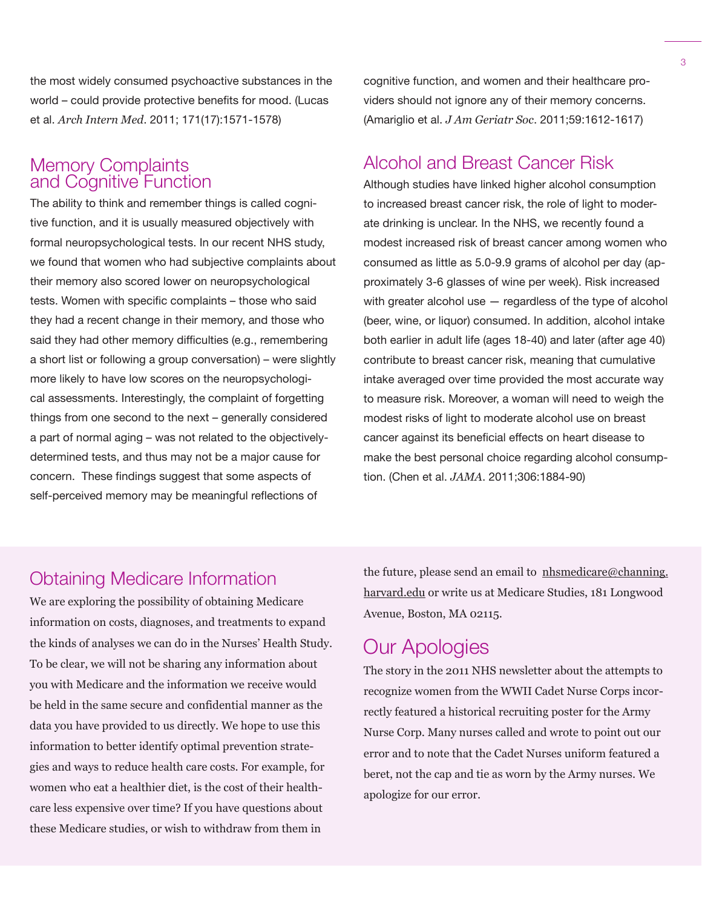the most widely consumed psychoactive substances in the world – could provide protective benefits for mood. (Lucas et al. *Arch Intern Med*. 2011; 171(17):1571-1578)

### Memory Complaints and Cognitive Function

The ability to think and remember things is called cognitive function, and it is usually measured objectively with formal neuropsychological tests. In our recent NHS study, we found that women who had subjective complaints about their memory also scored lower on neuropsychological tests. Women with specific complaints – those who said they had a recent change in their memory, and those who said they had other memory difficulties (e.g., remembering a short list or following a group conversation) – were slightly more likely to have low scores on the neuropsychological assessments. Interestingly, the complaint of forgetting things from one second to the next – generally considered a part of normal aging – was not related to the objectivelydetermined tests, and thus may not be a major cause for concern. These findings suggest that some aspects of self-perceived memory may be meaningful reflections of

cognitive function, and women and their healthcare providers should not ignore any of their memory concerns. (Amariglio et al. *J Am Geriatr Soc*. 2011;59:1612-1617)

### Alcohol and Breast Cancer Risk

Although studies have linked higher alcohol consumption to increased breast cancer risk, the role of light to moderate drinking is unclear. In the NHS, we recently found a modest increased risk of breast cancer among women who consumed as little as 5.0-9.9 grams of alcohol per day (approximately 3-6 glasses of wine per week). Risk increased with greater alcohol use — regardless of the type of alcohol (beer, wine, or liquor) consumed. In addition, alcohol intake both earlier in adult life (ages 18-40) and later (after age 40) contribute to breast cancer risk, meaning that cumulative intake averaged over time provided the most accurate way to measure risk. Moreover, a woman will need to weigh the modest risks of light to moderate alcohol use on breast cancer against its beneficial effects on heart disease to make the best personal choice regarding alcohol consumption. (Chen et al. *JAMA*. 2011;306:1884-90)

### Obtaining Medicare Information

We are exploring the possibility of obtaining Medicare information on costs, diagnoses, and treatments to expand the kinds of analyses we can do in the Nurses' Health Study. To be clear, we will not be sharing any information about you with Medicare and the information we receive would be held in the same secure and confidential manner as the data you have provided to us directly. We hope to use this information to better identify optimal prevention strategies and ways to reduce health care costs. For example, for women who eat a healthier diet, is the cost of their healthcare less expensive over time? If you have questions about these Medicare studies, or wish to withdraw from them in

the future, please send an email to  $n$ hsmedicare@channing. harvard.edu or write us at Medicare Studies, 181 Longwood Avenue, Boston, MA 02115.

### Our Apologies

The story in the 2011 NHS newsletter about the attempts to recognize women from the WWII Cadet Nurse Corps incorrectly featured a historical recruiting poster for the Army Nurse Corp. Many nurses called and wrote to point out our error and to note that the Cadet Nurses uniform featured a beret, not the cap and tie as worn by the Army nurses. We apologize for our error.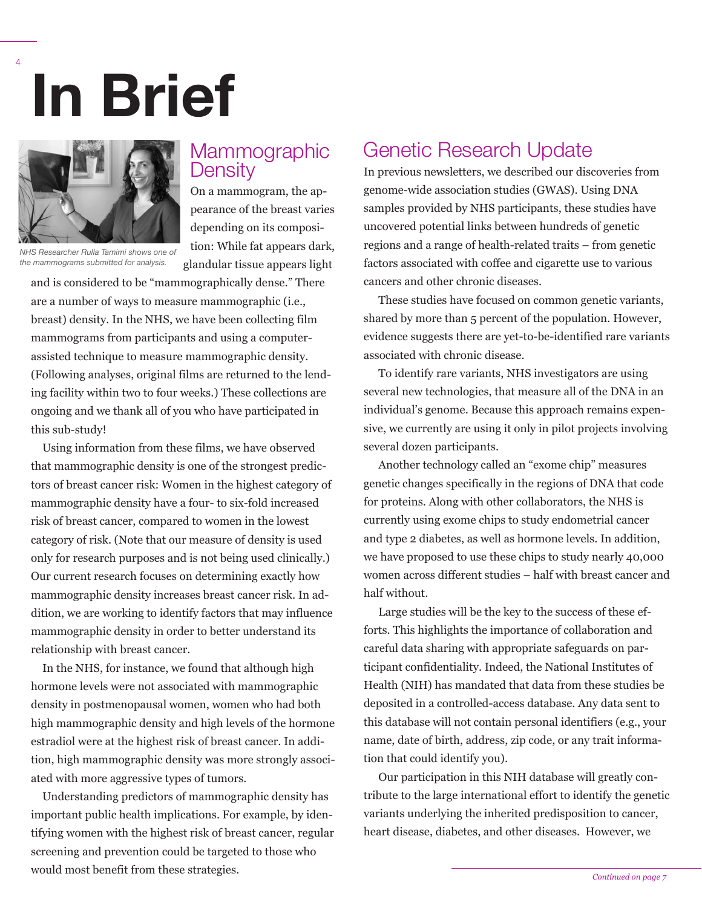# **In Brief**



4

**Mammographic Density** 

On a mammogram, the appearance of the breast varies depending on its composition: While fat appears dark, glandular tissue appears light

*NHS Researcher Rulla Tamimi shows one of the mammograms submitted for analysis.*

and is considered to be "mammographically dense." There are a number of ways to measure mammographic (i.e., breast) density. In the NHS, we have been collecting film mammograms from participants and using a computerassisted technique to measure mammographic density. (Following analyses, original films are returned to the lending facility within two to four weeks.) These collections are ongoing and we thank all of you who have participated in this sub-study!

Using information from these films, we have observed that mammographic density is one of the strongest predictors of breast cancer risk: Women in the highest category of mammographic density have a four- to six-fold increased risk of breast cancer, compared to women in the lowest category of risk. (Note that our measure of density is used only for research purposes and is not being used clinically.) Our current research focuses on determining exactly how mammographic density increases breast cancer risk. In addition, we are working to identify factors that may influence mammographic density in order to better understand its relationship with breast cancer.

In the NHS, for instance, we found that although high hormone levels were not associated with mammographic density in postmenopausal women, women who had both high mammographic density and high levels of the hormone estradiol were at the highest risk of breast cancer. In addition, high mammographic density was more strongly associated with more aggressive types of tumors.

Understanding predictors of mammographic density has important public health implications. For example, by identifying women with the highest risk of breast cancer, regular screening and prevention could be targeted to those who would most benefit from these strategies.

### Genetic Research Update

In previous newsletters, we described our discoveries from genome-wide association studies (GWAS). Using DNA samples provided by NHS participants, these studies have uncovered potential links between hundreds of genetic regions and a range of health-related traits – from genetic factors associated with coffee and cigarette use to various cancers and other chronic diseases.

These studies have focused on common genetic variants, shared by more than 5 percent of the population. However, evidence suggests there are yet-to-be-identified rare variants associated with chronic disease.

To identify rare variants, NHS investigators are using several new technologies, that measure all of the DNA in an individual's genome. Because this approach remains expensive, we currently are using it only in pilot projects involving several dozen participants.

Another technology called an "exome chip" measures genetic changes specifically in the regions of DNA that code for proteins. Along with other collaborators, the NHS is currently using exome chips to study endometrial cancer and type 2 diabetes, as well as hormone levels. In addition, we have proposed to use these chips to study nearly 40,000 women across different studies – half with breast cancer and half without.

Large studies will be the key to the success of these efforts. This highlights the importance of collaboration and careful data sharing with appropriate safeguards on participant confidentiality. Indeed, the National Institutes of Health (NIH) has mandated that data from these studies be deposited in a controlled-access database. Any data sent to this database will not contain personal identifiers (e.g., your name, date of birth, address, zip code, or any trait information that could identify you).

Our participation in this NIH database will greatly contribute to the large international effort to identify the genetic variants underlying the inherited predisposition to cancer, heart disease, diabetes, and other diseases. However, we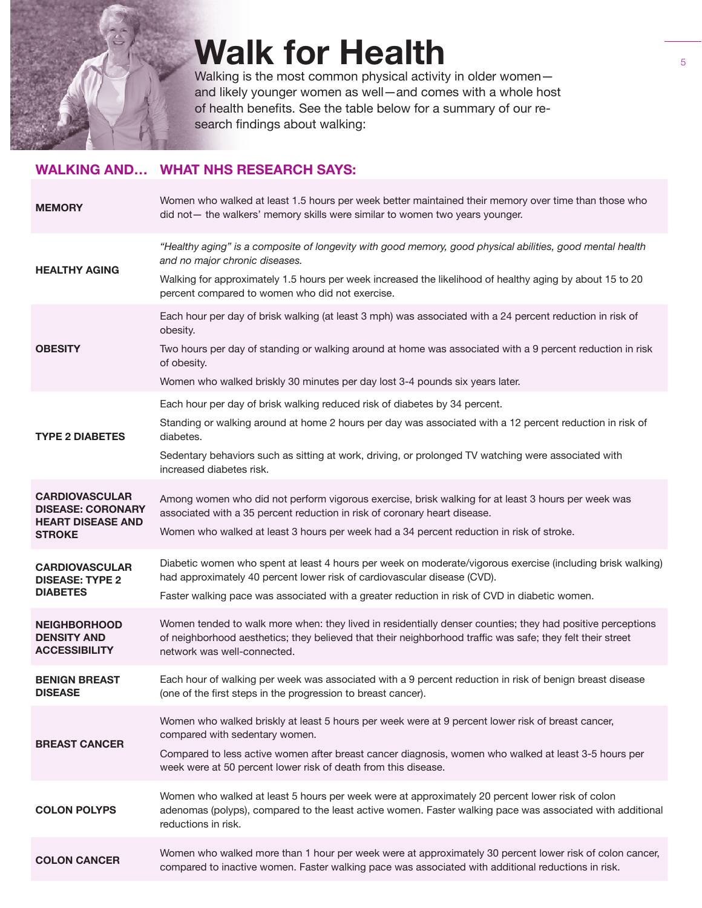

# **Walk for Health**

Walking is the most common physical activity in older women and likely younger women as well—and comes with a whole host of health benefits. See the table below for a summary of our research findings about walking:

### **WALKING AND… WHAT NHS RESEARCH SAYS:**

| <b>MEMORY</b>                                                                                  | Women who walked at least 1.5 hours per week better maintained their memory over time than those who<br>did not - the walkers' memory skills were similar to women two years younger.                                                                                                                                                  |
|------------------------------------------------------------------------------------------------|----------------------------------------------------------------------------------------------------------------------------------------------------------------------------------------------------------------------------------------------------------------------------------------------------------------------------------------|
| <b>HEALTHY AGING</b>                                                                           | "Healthy aging" is a composite of longevity with good memory, good physical abilities, good mental health<br>and no major chronic diseases.<br>Walking for approximately 1.5 hours per week increased the likelihood of healthy aging by about 15 to 20<br>percent compared to women who did not exercise.                             |
| <b>OBESITY</b>                                                                                 | Each hour per day of brisk walking (at least 3 mph) was associated with a 24 percent reduction in risk of<br>obesity.<br>Two hours per day of standing or walking around at home was associated with a 9 percent reduction in risk<br>of obesity.<br>Women who walked briskly 30 minutes per day lost 3-4 pounds six years later.      |
| <b>TYPE 2 DIABETES</b>                                                                         | Each hour per day of brisk walking reduced risk of diabetes by 34 percent.<br>Standing or walking around at home 2 hours per day was associated with a 12 percent reduction in risk of<br>diabetes.<br>Sedentary behaviors such as sitting at work, driving, or prolonged TV watching were associated with<br>increased diabetes risk. |
| <b>CARDIOVASCULAR</b><br><b>DISEASE: CORONARY</b><br><b>HEART DISEASE AND</b><br><b>STROKE</b> | Among women who did not perform vigorous exercise, brisk walking for at least 3 hours per week was<br>associated with a 35 percent reduction in risk of coronary heart disease.<br>Women who walked at least 3 hours per week had a 34 percent reduction in risk of stroke.                                                            |
| <b>CARDIOVASCULAR</b><br><b>DISEASE: TYPE 2</b><br><b>DIABETES</b>                             | Diabetic women who spent at least 4 hours per week on moderate/vigorous exercise (including brisk walking)<br>had approximately 40 percent lower risk of cardiovascular disease (CVD).<br>Faster walking pace was associated with a greater reduction in risk of CVD in diabetic women.                                                |
| <b>NEIGHBORHOOD</b><br><b>DENSITY AND</b><br><b>ACCESSIBILITY</b>                              | Women tended to walk more when: they lived in residentially denser counties; they had positive perceptions<br>of neighborhood aesthetics; they believed that their neighborhood traffic was safe; they felt their street<br>network was well-connected.                                                                                |
| <b>BENIGN BREAST</b><br><b>DISEASE</b>                                                         | Each hour of walking per week was associated with a 9 percent reduction in risk of benign breast disease<br>(one of the first steps in the progression to breast cancer).                                                                                                                                                              |
| <b>BREAST CANCER</b>                                                                           | Women who walked briskly at least 5 hours per week were at 9 percent lower risk of breast cancer,<br>compared with sedentary women.<br>Compared to less active women after breast cancer diagnosis, women who walked at least 3-5 hours per<br>week were at 50 percent lower risk of death from this disease.                          |
| <b>COLON POLYPS</b>                                                                            | Women who walked at least 5 hours per week were at approximately 20 percent lower risk of colon<br>adenomas (polyps), compared to the least active women. Faster walking pace was associated with additional<br>reductions in risk.                                                                                                    |
| <b>COLON CANCER</b>                                                                            | Women who walked more than 1 hour per week were at approximately 30 percent lower risk of colon cancer,<br>compared to inactive women. Faster walking pace was associated with additional reductions in risk.                                                                                                                          |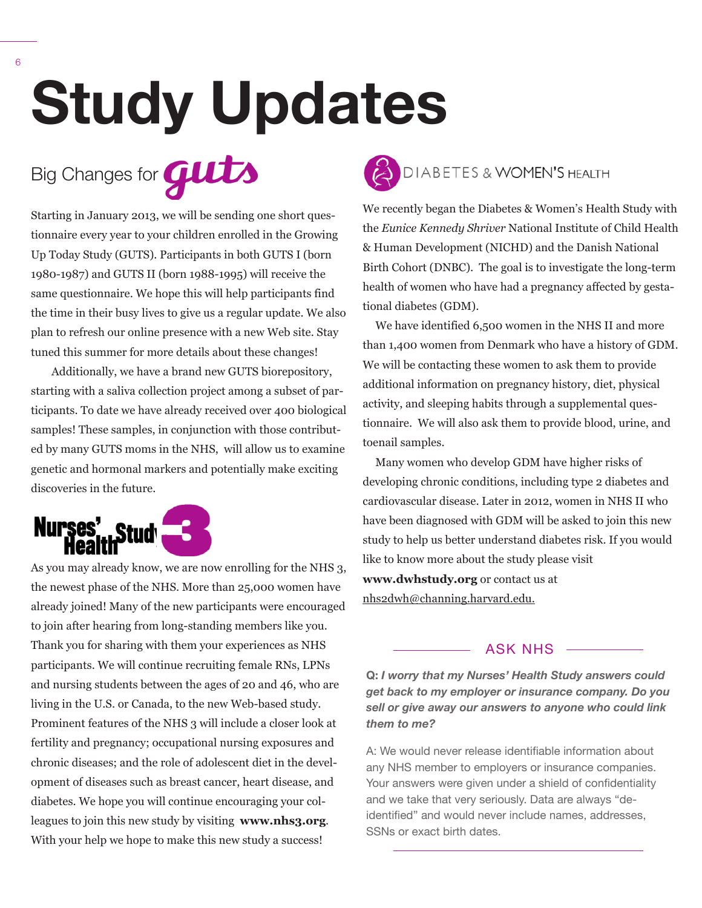# **Study Updates**



Starting in January 2013, we will be sending one short questionnaire every year to your children enrolled in the Growing Up Today Study (GUTS). Participants in both GUTS I (born 1980-1987) and GUTS II (born 1988-1995) will receive the same questionnaire. We hope this will help participants find the time in their busy lives to give us a regular update. We also plan to refresh our online presence with a new Web site. Stay tuned this summer for more details about these changes!

Additionally, we have a brand new GUTS biorepository, starting with a saliva collection project among a subset of participants. To date we have already received over 400 biological samples! These samples, in conjunction with those contributed by many GUTS moms in the NHS, will allow us to examine genetic and hormonal markers and potentially make exciting discoveries in the future.



As you may already know, we are now enrolling for the NHS 3, the newest phase of the NHS. More than 25,000 women have already joined! Many of the new participants were encouraged to join after hearing from long-standing members like you. Thank you for sharing with them your experiences as NHS participants. We will continue recruiting female RNs, LPNs and nursing students between the ages of 20 and 46, who are living in the U.S. or Canada, to the new Web-based study. Prominent features of the NHS 3 will include a closer look at fertility and pregnancy; occupational nursing exposures and chronic diseases; and the role of adolescent diet in the development of diseases such as breast cancer, heart disease, and diabetes. We hope you will continue encouraging your colleagues to join this new study by visiting **www.nhs3.org**. With your help we hope to make this new study a success!



We recently began the Diabetes & Women's Health Study with the *Eunice Kennedy Shriver* National Institute of Child Health & Human Development (NICHD) and the Danish National Birth Cohort (DNBC). The goal is to investigate the long-term health of women who have had a pregnancy affected by gestational diabetes (GDM).

We have identified 6,500 women in the NHS II and more than 1,400 women from Denmark who have a history of GDM. We will be contacting these women to ask them to provide additional information on pregnancy history, diet, physical activity, and sleeping habits through a supplemental questionnaire. We will also ask them to provide blood, urine, and toenail samples.

Many women who develop GDM have higher risks of developing chronic conditions, including type 2 diabetes and cardiovascular disease. Later in 2012, women in NHS II who have been diagnosed with GDM will be asked to join this new study to help us better understand diabetes risk. If you would like to know more about the study please visit

**www.dwhstudy.org** or contact us at nhs2dwh@channing.harvard.edu.

### $-$  ASK NHS  $-$

**Q:** *I worry that my Nurses' Health Study answers could get back to my employer or insurance company. Do you sell or give away our answers to anyone who could link them to me?*

A: We would never release identifiable information about any NHS member to employers or insurance companies. Your answers were given under a shield of confidentiality and we take that very seriously. Data are always "deidentified" and would never include names, addresses, SSNs or exact birth dates.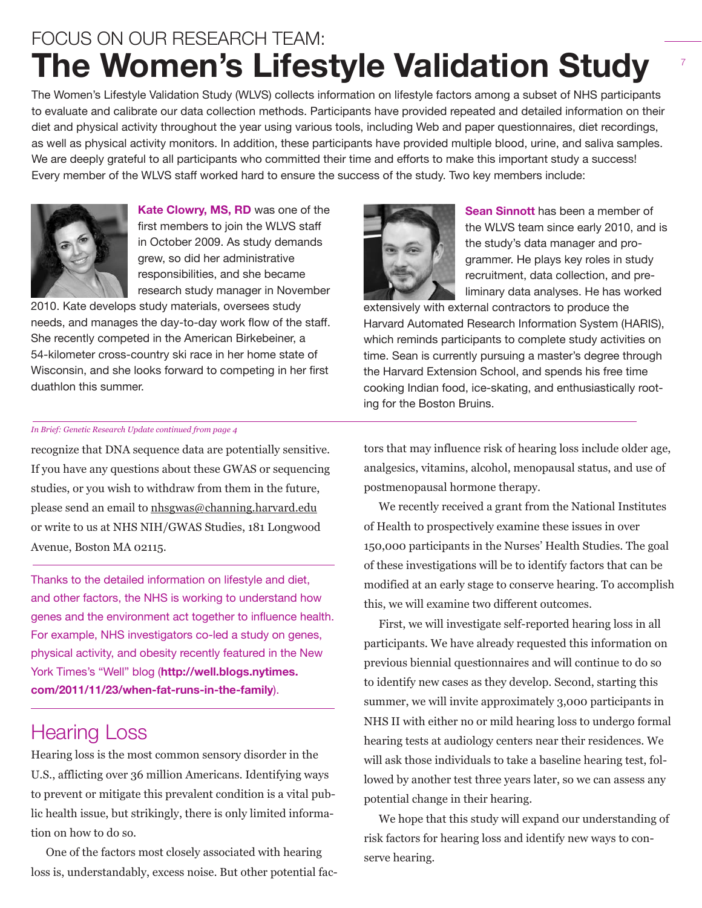# FOCUS ON OUR RESEARCH TEAM: **The Women's Lifestyle Validation Study**

The Women's Lifestyle Validation Study (WLVS) collects information on lifestyle factors among a subset of NHS participants to evaluate and calibrate our data collection methods. Participants have provided repeated and detailed information on their diet and physical activity throughout the year using various tools, including Web and paper questionnaires, diet recordings, as well as physical activity monitors. In addition, these participants have provided multiple blood, urine, and saliva samples. We are deeply grateful to all participants who committed their time and efforts to make this important study a success! Every member of the WLVS staff worked hard to ensure the success of the study. Two key members include:



**Kate Clowry, MS, RD** was one of the first members to join the WLVS staff in October 2009. As study demands grew, so did her administrative responsibilities, and she became research study manager in November

2010. Kate develops study materials, oversees study needs, and manages the day-to-day work flow of the staff. She recently competed in the American Birkebeiner, a 54-kilometer cross-country ski race in her home state of Wisconsin, and she looks forward to competing in her first duathlon this summer.

### *In Brief: Genetic Research Update continued from page 4*

recognize that DNA sequence data are potentially sensitive. If you have any questions about these GWAS or sequencing studies, or you wish to withdraw from them in the future, please send an email to nhsgwas@channing.harvard.edu or write to us at NHS NIH/GWAS Studies, 181 Longwood Avenue, Boston MA 02115.

Thanks to the detailed information on lifestyle and diet, and other factors, the NHS is working to understand how genes and the environment act together to influence health. For example, NHS investigators co-led a study on genes, physical activity, and obesity recently featured in the New York Times's "Well" blog (**http://well.blogs.nytimes. com/2011/11/23/when-fat-runs-in-the-family**).

## Hearing Loss

Hearing loss is the most common sensory disorder in the U.S., afflicting over 36 million Americans. Identifying ways to prevent or mitigate this prevalent condition is a vital public health issue, but strikingly, there is only limited information on how to do so.

One of the factors most closely associated with hearing loss is, understandably, excess noise. But other potential fac-



**Sean Sinnott** has been a member of the WLVS team since early 2010, and is the study's data manager and programmer. He plays key roles in study recruitment, data collection, and preliminary data analyses. He has worked

extensively with external contractors to produce the Harvard Automated Research Information System (HARIS), which reminds participants to complete study activities on time. Sean is currently pursuing a master's degree through the Harvard Extension School, and spends his free time cooking Indian food, ice-skating, and enthusiastically rooting for the Boston Bruins.

tors that may influence risk of hearing loss include older age, analgesics, vitamins, alcohol, menopausal status, and use of postmenopausal hormone therapy.

We recently received a grant from the National Institutes of Health to prospectively examine these issues in over 150,000 participants in the Nurses' Health Studies. The goal of these investigations will be to identify factors that can be modified at an early stage to conserve hearing. To accomplish this, we will examine two different outcomes.

First, we will investigate self-reported hearing loss in all participants. We have already requested this information on previous biennial questionnaires and will continue to do so to identify new cases as they develop. Second, starting this summer, we will invite approximately 3,000 participants in NHS II with either no or mild hearing loss to undergo formal hearing tests at audiology centers near their residences. We will ask those individuals to take a baseline hearing test, followed by another test three years later, so we can assess any potential change in their hearing.

We hope that this study will expand our understanding of risk factors for hearing loss and identify new ways to conserve hearing.